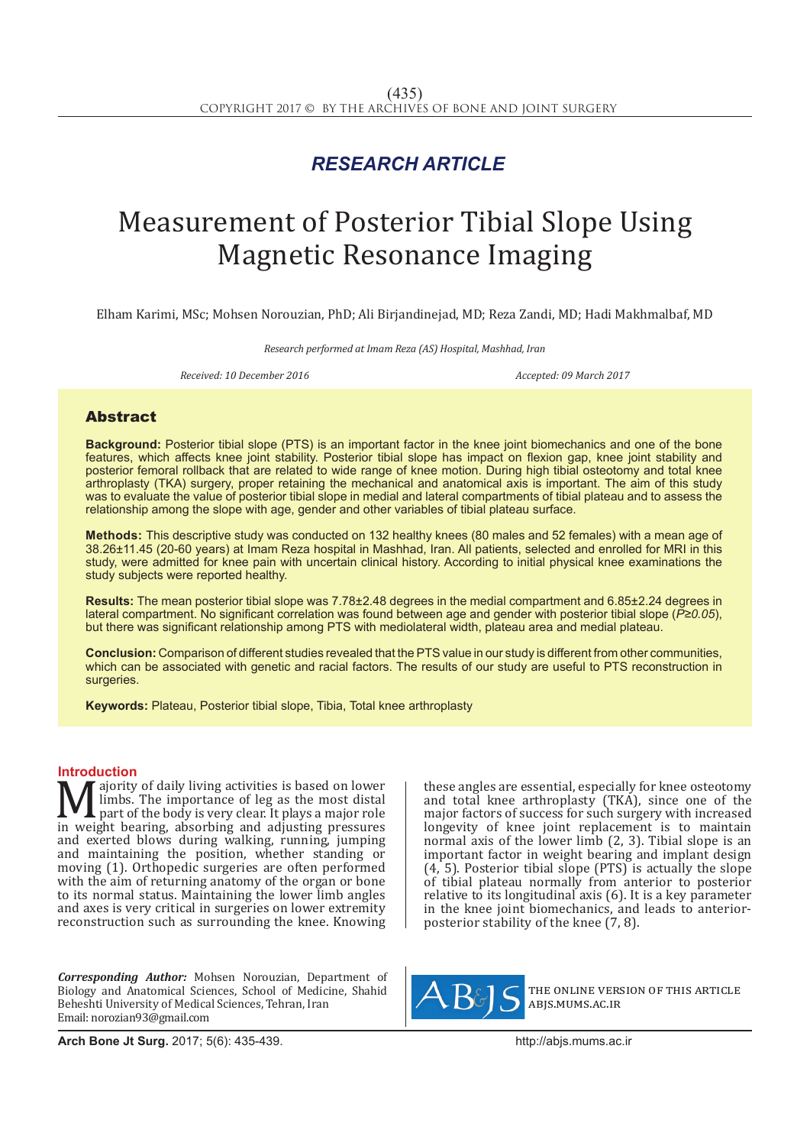## *RESEARCH ARTICLE*

# Measurement of Posterior Tibial Slope Using Magnetic Resonance Imaging

Elham Karimi, MSc; Mohsen Norouzian, PhD; Ali Birjandinejad, MD; Reza Zandi, MD; Hadi Makhmalbaf, MD

*Research performed at Imam Reza (AS) Hospital, Mashhad, Iran*

**Received: 10 December 2016** Accepted: 09 March 2017

### Abstract

**Background:** Posterior tibial slope (PTS) is an important factor in the knee joint biomechanics and one of the bone features, which affects knee joint stability. Posterior tibial slope has impact on flexion gap, knee joint stability and posterior femoral rollback that are related to wide range of knee motion. During high tibial osteotomy and total knee arthroplasty (TKA) surgery, proper retaining the mechanical and anatomical axis is important. The aim of this study was to evaluate the value of posterior tibial slope in medial and lateral compartments of tibial plateau and to assess the relationship among the slope with age, gender and other variables of tibial plateau surface.

**Methods:** This descriptive study was conducted on 132 healthy knees (80 males and 52 females) with a mean age of 38.26±11.45 (20-60 years) at Imam Reza hospital in Mashhad, Iran. All patients, selected and enrolled for MRI in this study, were admitted for knee pain with uncertain clinical history. According to initial physical knee examinations the study subjects were reported healthy.

**Results:** The mean posterior tibial slope was 7.78±2.48 degrees in the medial compartment and 6.85±2.24 degrees in lateral compartment. No significant correlation was found between age and gender with posterior tibial slope (*P≥0.05*), but there was significant relationship among PTS with mediolateral width, plateau area and medial plateau.

**Conclusion:** Comparison of different studies revealed that the PTS value in our study is different from other communities, which can be associated with genetic and racial factors. The results of our study are useful to PTS reconstruction in surgeries.

**Keywords:** Plateau, Posterior tibial slope, Tibia, Total knee arthroplasty

**Introduction**<br>**N**  $\boldsymbol{\Lambda}$  ajority of daily living activities is based on lower **Majority of daily living activities is based on lower**<br>limbs. The importance of leg as the most distal<br>in weight bearing, absorbing and adjusting pressures<br>and evented blows during walking running jumning limbs. The importance of leg as the most distal **L** part of the body is very clear. It plays a major role and exerted blows during walking, running, jumping and maintaining the position, whether standing or moving (1). Orthopedic surgeries are often performed with the aim of returning anatomy of the organ or bone to its normal status. Maintaining the lower limb angles and axes is very critical in surgeries on lower extremity reconstruction such as surrounding the knee. Knowing

*Corresponding Author:* Mohsen Norouzian, Department of Biology and Anatomical Sciences, School of Medicine, Shahid Beheshti University of Medical Sciences, Tehran, Iran Email: norozian93@gmail.com

these angles are essential, especially for knee osteotomy and total knee arthroplasty (TKA), since one of the major factors of success for such surgery with increased longevity of knee joint replacement is to maintain normal axis of the lower limb (2, 3). Tibial slope is an important factor in weight bearing and implant design  $(4, 5)$ . Posterior tibial slope (PTS) is actually the slope of tibial plateau normally from anterior to posterior relative to its longitudinal axis (6). It is a key parameter in the knee joint biomechanics, and leads to anteriorposterior stability of the knee (7, 8).



the online version of this article abjs.mums.ac.ir

**Arch Bone Jt Surg.** 2017; 5(6): 435-439.http://abjs.mums.ac.ir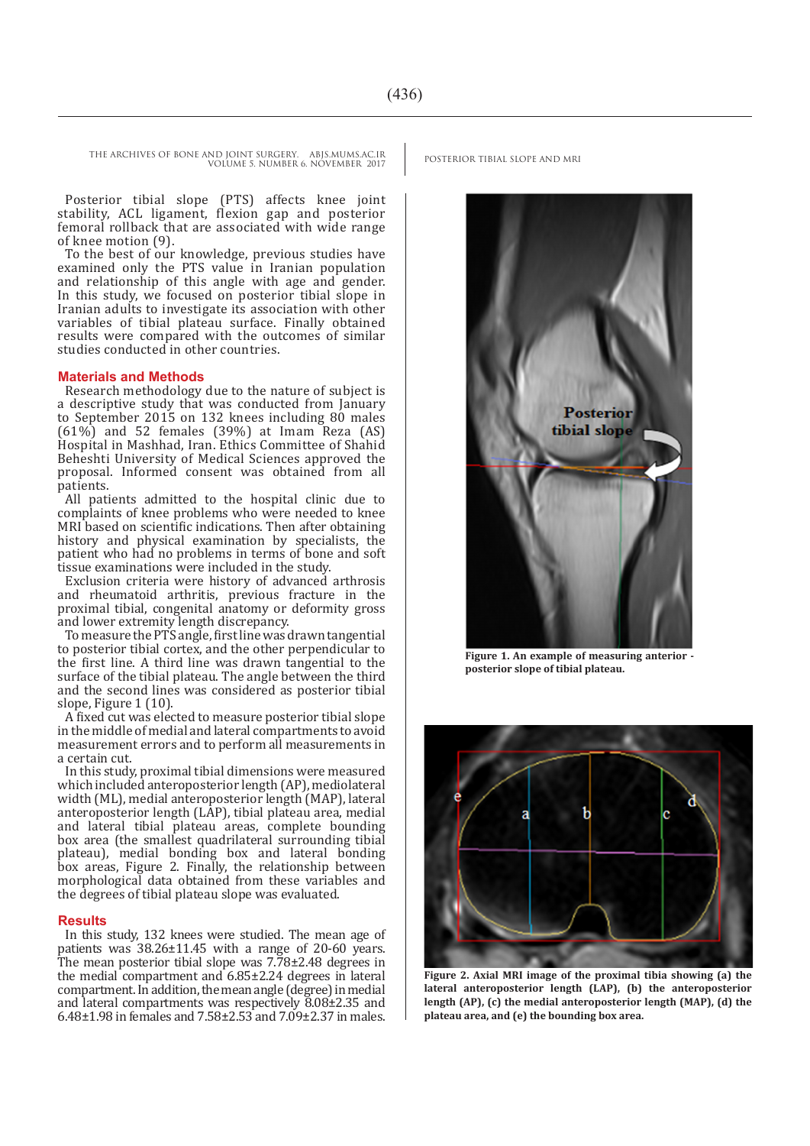Posterior tibial slope (PTS) affects knee joint stability, ACL ligament, flexion gap and posterior femoral rollback that are associated with wide range of knee motion (9).

To the best of our knowledge, previous studies have examined only the PTS value in Iranian population and relationship of this angle with age and gender. In this study, we focused on posterior tibial slope in Iranian adults to investigate its association with other variables of tibial plateau surface. Finally obtained results were compared with the outcomes of similar studies conducted in other countries.

#### **Materials and Methods**

Research methodology due to the nature of subject is a descriptive study that was conducted from January to September 2015 on 132 knees including 80 males  $(61\%)$  and 52 females  $(39\%)$  at Imam Reza  $(AS)$ Hospital in Mashhad, Iran. Ethics Committee of Shahid Beheshti University of Medical Sciences approved the proposal. Informed consent was obtained from all patients.

All patients admitted to the hospital clinic due to complaints of knee problems who were needed to knee MRI based on scientific indications. Then after obtaining history and physical examination by specialists, the patient who had no problems in terms of bone and soft tissue examinations were included in the study.

Exclusion criteria were history of advanced arthrosis and rheumatoid arthritis, previous fracture in the proximal tibial, congenital anatomy or deformity gross and lower extremity length discrepancy.

To measure the PTS angle, first line was drawn tangential to posterior tibial cortex, and the other perpendicular to the first line. A third line was drawn tangential to the surface of the tibial plateau. The angle between the third and the second lines was considered as posterior tibial slope, Figure 1 (10).

A fixed cut was elected to measure posterior tibial slope in the middle of medial and lateral compartments to avoid measurement errors and to perform all measurements in a certain cut.

In this study, proximal tibial dimensions were measured which included anteroposterior length (AP), mediolateral width (ML), medial anteroposterior length (MAP), lateral anteroposterior length (LAP), tibial plateau area, medial and lateral tibial plateau areas, complete bounding box area (the smallest quadrilateral surrounding tibial plateau), medial bonding box and lateral bonding box areas, Figure 2. Finally, the relationship between morphological data obtained from these variables and the degrees of tibial plateau slope was evaluated.

#### **Results**

In this study, 132 knees were studied. The mean age of patients was 38.26±11.45 with a range of 20-60 years. The mean posterior tibial slope was 7.78±2.48 degrees in the medial compartment and 6.85±2.24 degrees in lateral compartment. In addition, the mean angle (degree) in medial and lateral compartments was respectively 8.08±2.35 and 6.48±1.98 in females and 7.58±2.53 and 7.09±2.37 in males.



Figure 1. An example of measuring anterior **posterior slope of tibial plateau.**



**Figure 2. Axial MRI image of the proximal tibia showing (a) the lateral anteroposterior length (LAP), (b) the anteroposterior length (AP), (c) the medial anteroposterior length (MAP), (d) the plateau area, and (e) the bounding box area.**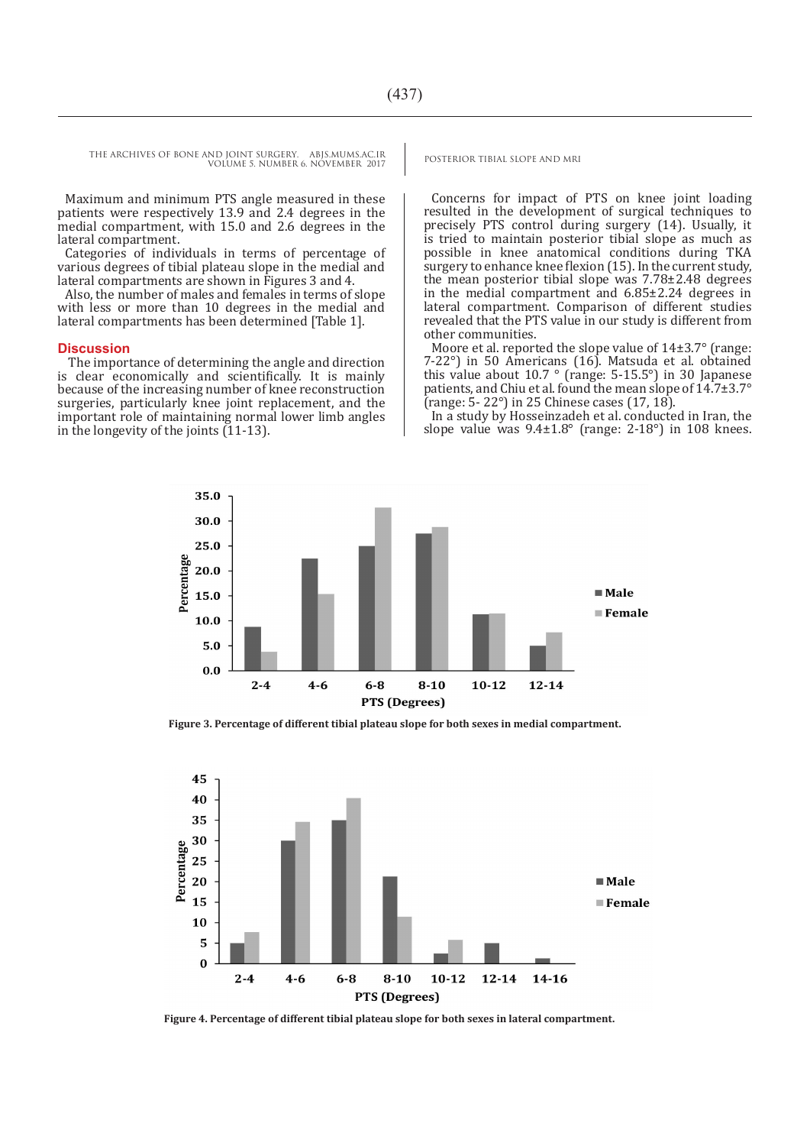Maximum and minimum PTS angle measured in these patients were respectively 13.9 and 2.4 degrees in the medial compartment, with 15.0 and 2.6 degrees in the lateral compartment.

Categories of individuals in terms of percentage of various degrees of tibial plateau slope in the medial and lateral compartments are shown in Figures 3 and 4.

Also, the number of males and females in terms of slope with less or more than 10 degrees in the medial and lateral compartments has been determined [Table 1].

#### **Discussion**

 The importance of determining the angle and direction is clear economically and scientifically. It is mainly because of the increasing number of knee reconstruction surgeries, particularly knee joint replacement, and the important role of maintaining normal lower limb angles in the longevity of the joints (11-13).

Concerns for impact of PTS on knee joint loading resulted in the development of surgical techniques to precisely PTS control during surgery (14). Usually, it is tried to maintain posterior tibial slope as much as possible in knee anatomical conditions during TKA surgery to enhance knee flexion (15). In the current study, the mean posterior tibial slope was 7.78±2.48 degrees in the medial compartment and 6.85±2.24 degrees in lateral compartment. Comparison of different studies revealed that the PTS value in our study is different from other communities.

Moore et al. reported the slope value of 14±3.7° (range: 7-22°) in 50 Americans (16). Matsuda et al. obtained this value about 10.7 ° (range: 5-15.5°) in 30 Japanese patients, and Chiu et al. found the mean slope of 14.7±3.7° (range: 5- 22°) in 25 Chinese cases (17, 18).

In a study by Hosseinzadeh et al. conducted in Iran, the slope value was  $9.4\pm1.8^\circ$  (range: 2-18°) in 108 knees.



**Figure 3. Percentage of different tibial plateau slope for both sexes in medial compartment.**



**Figure 4. Percentage of different tibial plateau slope for both sexes in lateral compartment.**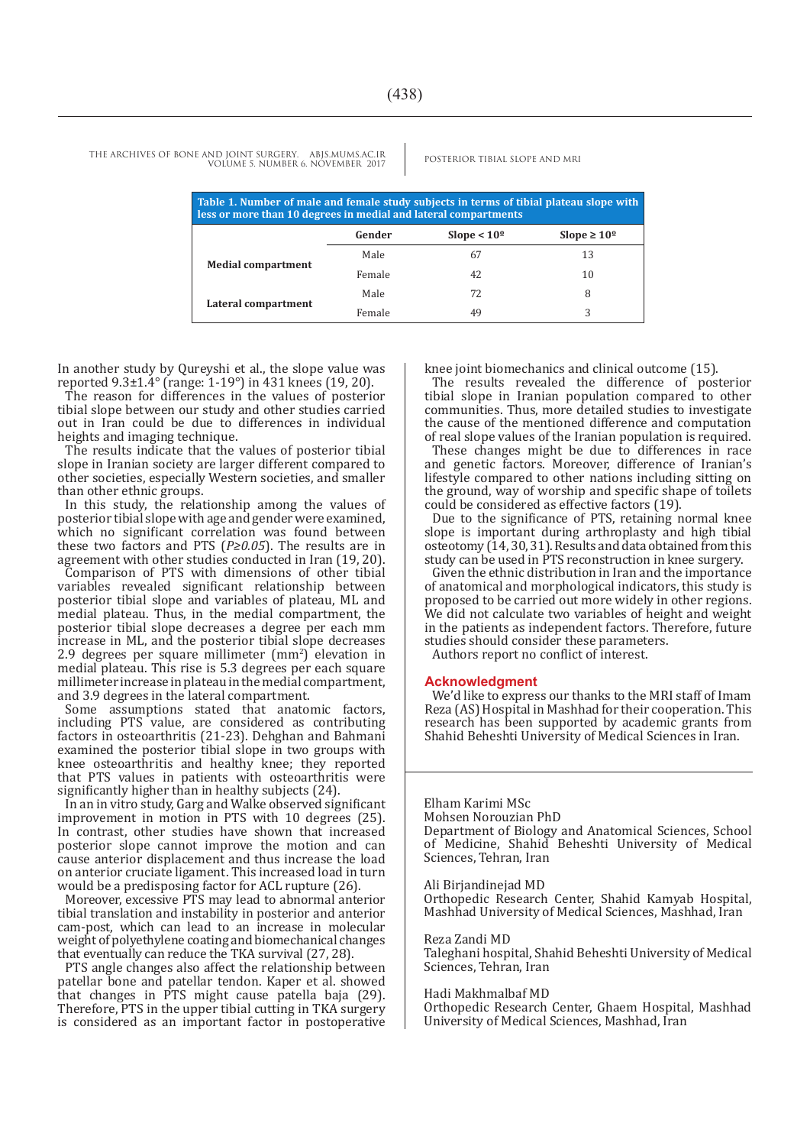| Table 1. Number of male and female study subjects in terms of tibial plateau slope with<br>less or more than 10 degrees in medial and lateral compartments |        |               |                         |
|------------------------------------------------------------------------------------------------------------------------------------------------------------|--------|---------------|-------------------------|
|                                                                                                                                                            | Gender | Slope $< 10°$ | Slope $\geq 10^{\circ}$ |
| <b>Medial compartment</b>                                                                                                                                  | Male   | 67            | 13                      |
|                                                                                                                                                            | Female | 42            | 10                      |
| Lateral compartment                                                                                                                                        | Male   | 72            | 8                       |
|                                                                                                                                                            | Female | 49            | 3                       |

In another study by Qureyshi et al., the slope value was reported 9.3±1.4° (range: 1-19°) in 431 knees (19, 20).

The reason for differences in the values of posterior tibial slope between our study and other studies carried out in Iran could be due to differences in individual heights and imaging technique.

The results indicate that the values of posterior tibial slope in Iranian society are larger different compared to other societies, especially Western societies, and smaller than other ethnic groups.

In this study, the relationship among the values of posterior tibial slope with age and gender were examined, which no significant correlation was found between these two factors and PTS (*P≥0.05*). The results are in agreement with other studies conducted in Iran (19, 20). Comparison of PTS with dimensions of other tibial variables revealed significant relationship between posterior tibial slope and variables of plateau, ML and medial plateau. Thus, in the medial compartment, the posterior tibial slope decreases a degree per each mm increase in ML, and the posterior tibial slope decreases  $2.9$  degrees per square millimeter  $\text{mm}^2$ ) elevation in medial plateau. This rise is 5.3 degrees per each square millimeter increase in plateau in the medial compartment, and 3.9 degrees in the lateral compartment.

Some assumptions stated that anatomic factors, including PTS value, are considered as contributing factors in osteoarthritis (21-23). Dehghan and Bahmani examined the posterior tibial slope in two groups with knee osteoarthritis and healthy knee; they reported that PTS values in patients with osteoarthritis were significantly higher than in healthy subjects (24).

In an in vitro study, Garg and Walke observed significant improvement in motion in PTS with 10 degrees (25). In contrast, other studies have shown that increased posterior slope cannot improve the motion and can cause anterior displacement and thus increase the load on anterior cruciate ligament. This increased load in turn would be a predisposing factor for ACL rupture (26).

Moreover, excessive PTS may lead to abnormal anterior tibial translation and instability in posterior and anterior cam-post, which can lead to an increase in molecular weight of polyethylene coating and biomechanical changes that eventually can reduce the TKA survival (27, 28).

PTS angle changes also affect the relationship between patellar bone and patellar tendon. Kaper et al. showed that changes in PTS might cause patella baja (29). Therefore, PTS in the upper tibial cutting in TKA surgery is considered as an important factor in postoperative

knee joint biomechanics and clinical outcome (15).

The results revealed the difference of posterior tibial slope in Iranian population compared to other communities. Thus, more detailed studies to investigate the cause of the mentioned difference and computation of real slope values of the Iranian population is required.

These changes might be due to differences in race and genetic factors. Moreover, difference of Iranian's lifestyle compared to other nations including sitting on the ground, way of worship and specific shape of toilets could be considered as effective factors (19).

Due to the significance of PTS, retaining normal knee slope is important during arthroplasty and high tibial osteotomy (14, 30, 31). Results and data obtained from this study can be used in PTS reconstruction in knee surgery.

Given the ethnic distribution in Iran and the importance of anatomical and morphological indicators, this study is proposed to be carried out more widely in other regions. We did not calculate two variables of height and weight in the patients as independent factors. Therefore, future studies should consider these parameters.

Authors report no conflict of interest.

#### **Acknowledgment**

We'd like to express our thanks to the MRI staff of Imam Reza (AS) Hospital in Mashhad for their cooperation. This research has been supported by academic grants from Shahid Beheshti University of Medical Sciences in Iran.

#### Elham Karimi MSc

Mohsen Norouzian PhD Department of Biology and Anatomical Sciences, School of Medicine, Shahid Beheshti University of Medical Sciences, Tehran, Iran

Ali Birjandinejad MD

Orthopedic Research Center, Shahid Kamyab Hospital, Mashhad University of Medical Sciences, Mashhad, Iran

#### Reza Zandi MD

Taleghani hospital, Shahid Beheshti University of Medical Sciences, Tehran, Iran

#### Hadi Makhmalbaf MD

Orthopedic Research Center, Ghaem Hospital, Mashhad University of Medical Sciences, Mashhad, Iran